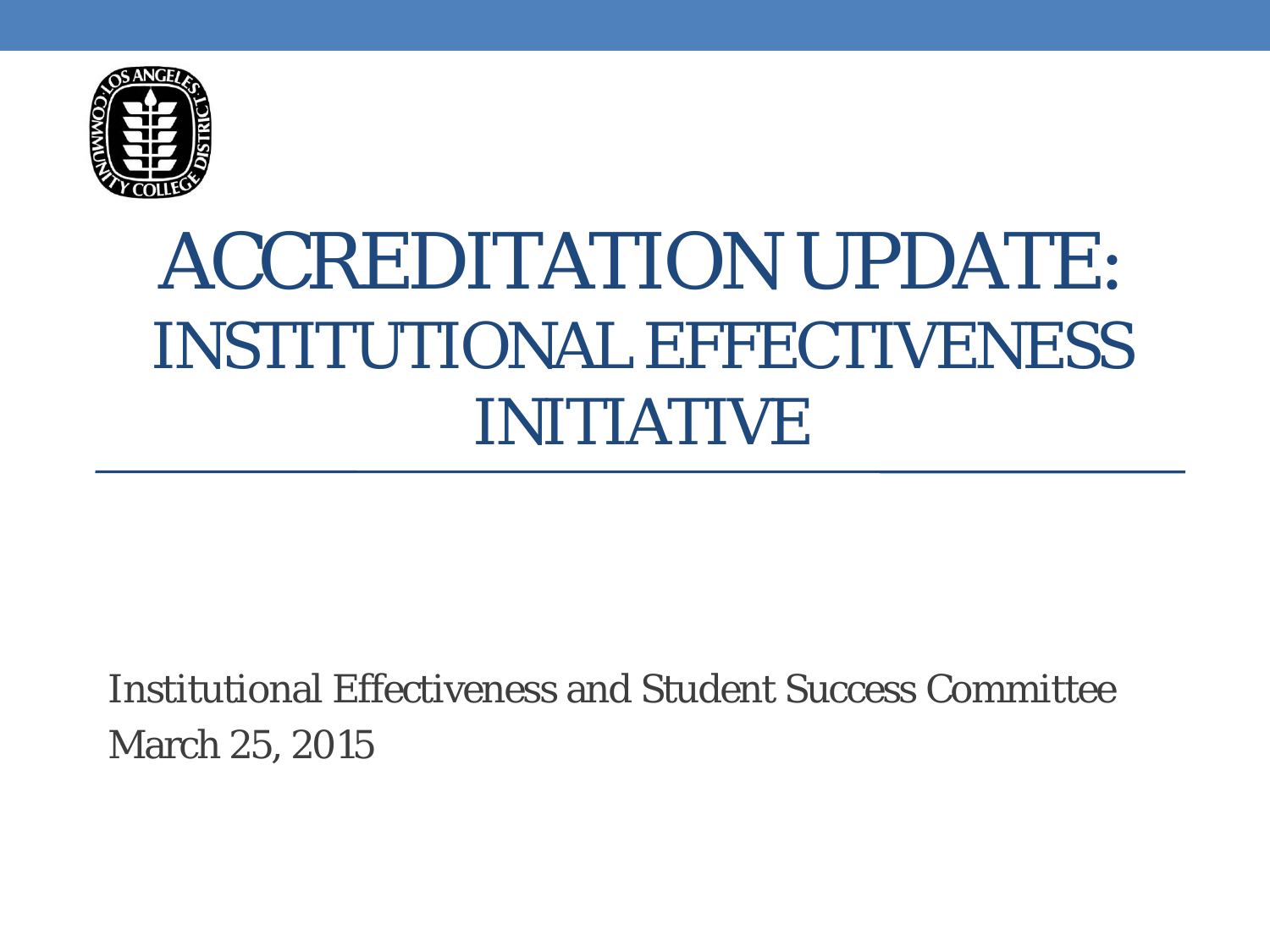

## ACCREDITATION UPDATE: INSTITUTIONAL EFFECTIVENESS INITIATIVE

Institutional Effectiveness and Student Success Committee March 25, 2015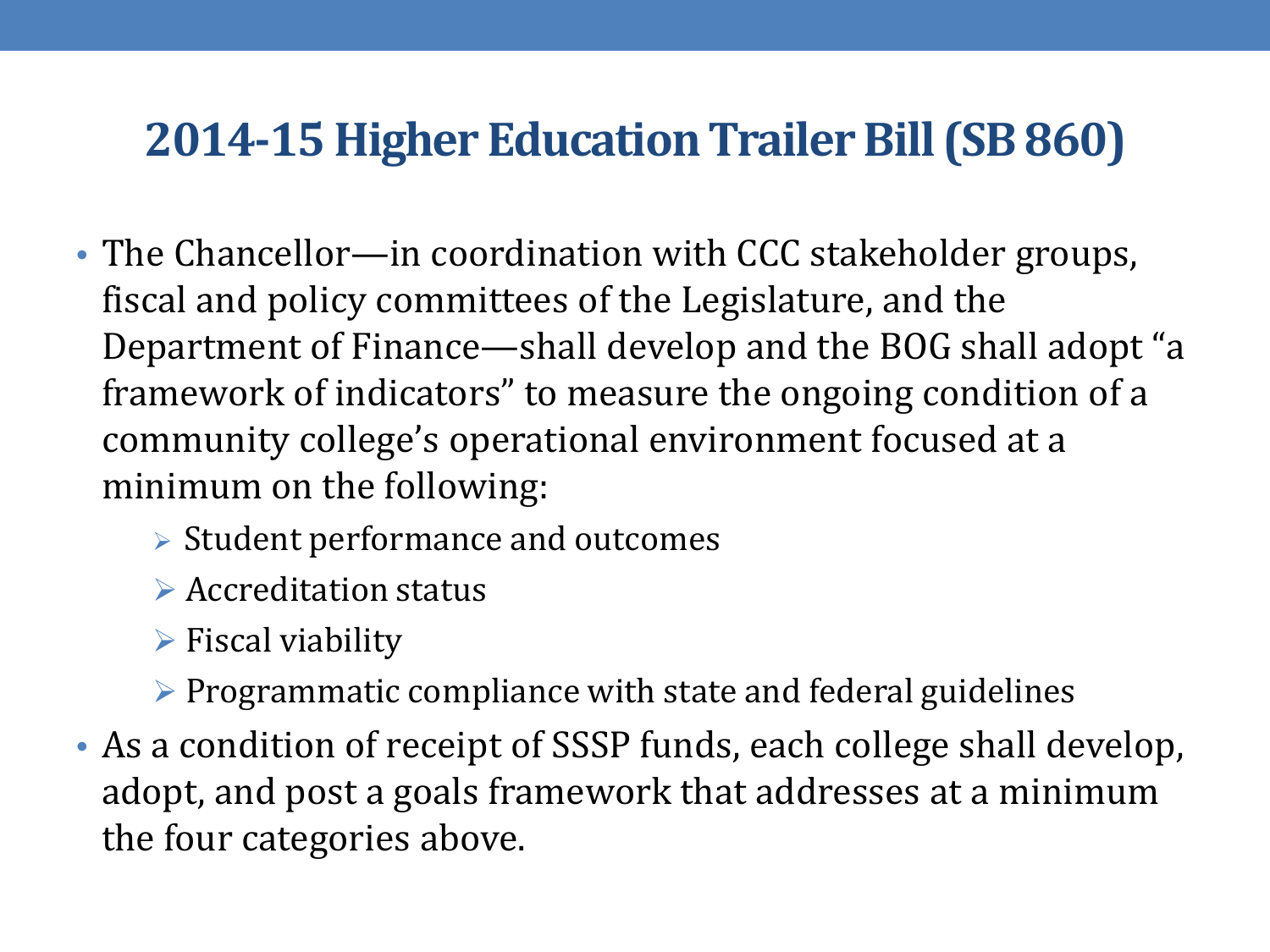## **2014-15 Higher Education Trailer Bill (SB 860)**

- The Chancellor—in coordination with CCC stakeholder groups, fiscal and policy committees of the Legislature, and the Department of Finance—shall develop and the BOG shall adopt "a framework of indicators" to measure the ongoing condition of a community college's operational environment focused at a minimum on the following:
	- $\triangleright$  Student performance and outcomes
	- **▶ Accreditation status**
	- $\triangleright$  Fiscal viability
	- $\triangleright$  Programmatic compliance with state and federal guidelines
- As a condition of receipt of SSSP funds, each college shall develop, adopt, and post a goals framework that addresses at a minimum the four categories above.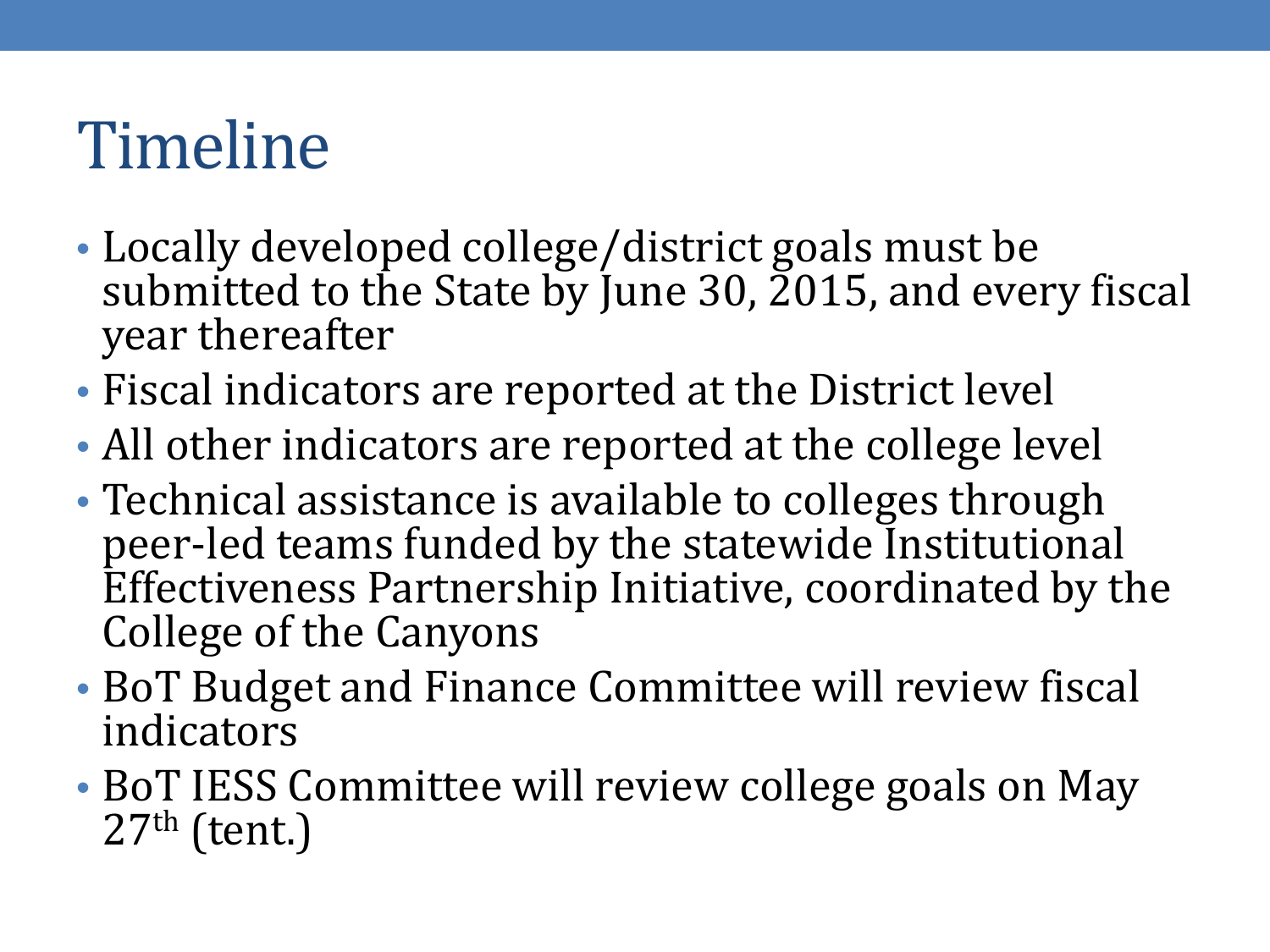## Timeline

- Locally developed college/district goals must be submitted to the State by June 30, 2015, and every fiscal year thereafter
- Fiscal indicators are reported at the District level
- All other indicators are reported at the college level
- Technical assistance is available to colleges through peer-led teams funded by the statewide Institutional Effectiveness Partnership Initiative, coordinated by the College of the Canyons
- BoT Budget and Finance Committee will review fiscal indicators
- BoT IESS Committee will review college goals on May  $27<sup>th</sup>$  (tent.)